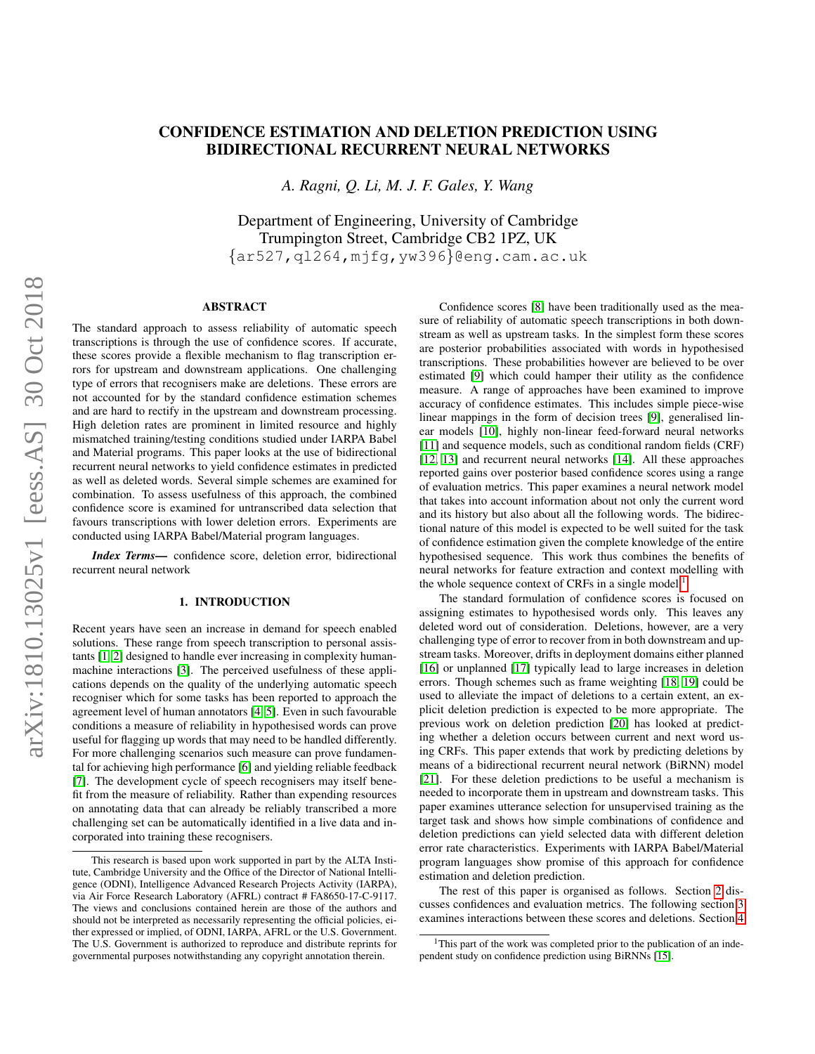# CONFIDENCE ESTIMATION AND DELETION PREDICTION USING BIDIRECTIONAL RECURRENT NEURAL NETWORKS

*A. Ragni, Q. Li, M. J. F. Gales, Y. Wang*

Department of Engineering, University of Cambridge Trumpington Street, Cambridge CB2 1PZ, UK {ar527,ql264,mjfg,yw396}@eng.cam.ac.uk

# ABSTRACT

The standard approach to assess reliability of automatic speech transcriptions is through the use of confidence scores. If accurate, these scores provide a flexible mechanism to flag transcription errors for upstream and downstream applications. One challenging type of errors that recognisers make are deletions. These errors are not accounted for by the standard confidence estimation schemes and are hard to rectify in the upstream and downstream processing. High deletion rates are prominent in limited resource and highly mismatched training/testing conditions studied under IARPA Babel and Material programs. This paper looks at the use of bidirectional recurrent neural networks to yield confidence estimates in predicted as well as deleted words. Several simple schemes are examined for combination. To assess usefulness of this approach, the combined confidence score is examined for untranscribed data selection that favours transcriptions with lower deletion errors. Experiments are conducted using IARPA Babel/Material program languages.

*Index Terms*— confidence score, deletion error, bidirectional recurrent neural network

## 1. INTRODUCTION

Recent years have seen an increase in demand for speech enabled solutions. These range from speech transcription to personal assistants [\[1,](#page-6-0) [2\]](#page-6-1) designed to handle ever increasing in complexity humanmachine interactions [\[3\]](#page-6-2). The perceived usefulness of these applications depends on the quality of the underlying automatic speech recogniser which for some tasks has been reported to approach the agreement level of human annotators [\[4,](#page-6-3) [5\]](#page-6-4). Even in such favourable conditions a measure of reliability in hypothesised words can prove useful for flagging up words that may need to be handled differently. For more challenging scenarios such measure can prove fundamental for achieving high performance [\[6\]](#page-6-5) and yielding reliable feedback [\[7\]](#page-6-6). The development cycle of speech recognisers may itself benefit from the measure of reliability. Rather than expending resources on annotating data that can already be reliably transcribed a more challenging set can be automatically identified in a live data and incorporated into training these recognisers.

Confidence scores [\[8\]](#page-6-7) have been traditionally used as the measure of reliability of automatic speech transcriptions in both downstream as well as upstream tasks. In the simplest form these scores are posterior probabilities associated with words in hypothesised transcriptions. These probabilities however are believed to be over estimated [\[9\]](#page-6-8) which could hamper their utility as the confidence measure. A range of approaches have been examined to improve accuracy of confidence estimates. This includes simple piece-wise linear mappings in the form of decision trees [\[9\]](#page-6-8), generalised linear models [\[10\]](#page-6-9), highly non-linear feed-forward neural networks [\[11\]](#page-6-10) and sequence models, such as conditional random fields (CRF) [\[12,](#page-6-11) [13\]](#page-6-12) and recurrent neural networks [\[14\]](#page-6-13). All these approaches reported gains over posterior based confidence scores using a range of evaluation metrics. This paper examines a neural network model that takes into account information about not only the current word and its history but also about all the following words. The bidirectional nature of this model is expected to be well suited for the task of confidence estimation given the complete knowledge of the entire hypothesised sequence. This work thus combines the benefits of neural networks for feature extraction and context modelling with the whole sequence context of CRFs in a single model.<sup>[1](#page-0-0)</sup>

The standard formulation of confidence scores is focused on assigning estimates to hypothesised words only. This leaves any deleted word out of consideration. Deletions, however, are a very challenging type of error to recover from in both downstream and upstream tasks. Moreover, drifts in deployment domains either planned [\[16\]](#page-6-14) or unplanned [\[17\]](#page-6-15) typically lead to large increases in deletion errors. Though schemes such as frame weighting [\[18,](#page-6-16) [19\]](#page-6-17) could be used to alleviate the impact of deletions to a certain extent, an explicit deletion prediction is expected to be more appropriate. The previous work on deletion prediction [\[20\]](#page-6-18) has looked at predicting whether a deletion occurs between current and next word using CRFs. This paper extends that work by predicting deletions by means of a bidirectional recurrent neural network (BiRNN) model [\[21\]](#page-6-19). For these deletion predictions to be useful a mechanism is needed to incorporate them in upstream and downstream tasks. This paper examines utterance selection for unsupervised training as the target task and shows how simple combinations of confidence and deletion predictions can yield selected data with different deletion error rate characteristics. Experiments with IARPA Babel/Material program languages show promise of this approach for confidence estimation and deletion prediction.

The rest of this paper is organised as follows. Section [2](#page-1-0) discusses confidences and evaluation metrics. The following section [3](#page-1-1) examines interactions between these scores and deletions. Section [4](#page-3-0)

This research is based upon work supported in part by the ALTA Institute, Cambridge University and the Office of the Director of National Intelligence (ODNI), Intelligence Advanced Research Projects Activity (IARPA), via Air Force Research Laboratory (AFRL) contract # FA8650-17-C-9117. The views and conclusions contained herein are those of the authors and should not be interpreted as necessarily representing the official policies, either expressed or implied, of ODNI, IARPA, AFRL or the U.S. Government. The U.S. Government is authorized to reproduce and distribute reprints for governmental purposes notwithstanding any copyright annotation therein.

<span id="page-0-0"></span><sup>&</sup>lt;sup>1</sup>This part of the work was completed prior to the publication of an independent study on confidence prediction using BiRNNs [\[15\]](#page-6-20).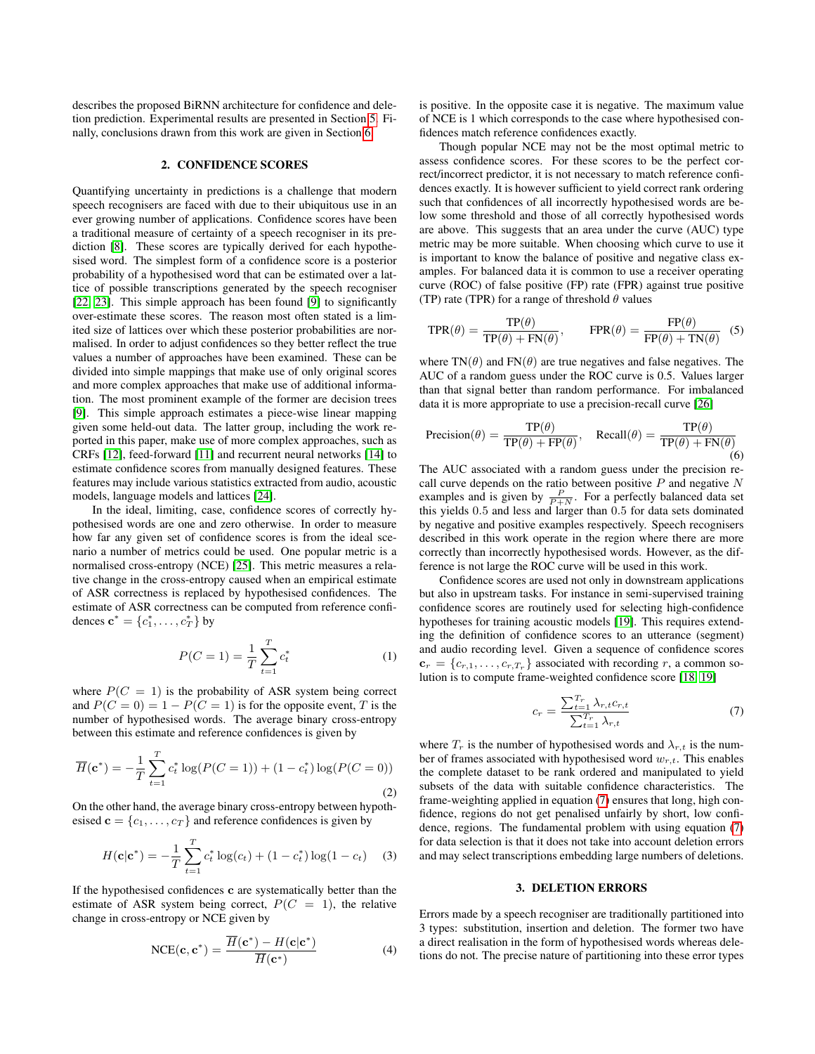describes the proposed BiRNN architecture for confidence and deletion prediction. Experimental results are presented in Section [5.](#page-3-1) Finally, conclusions drawn from this work are given in Section [6.](#page-5-0)

### 2. CONFIDENCE SCORES

<span id="page-1-0"></span>Quantifying uncertainty in predictions is a challenge that modern speech recognisers are faced with due to their ubiquitous use in an ever growing number of applications. Confidence scores have been a traditional measure of certainty of a speech recogniser in its prediction [\[8\]](#page-6-7). These scores are typically derived for each hypothesised word. The simplest form of a confidence score is a posterior probability of a hypothesised word that can be estimated over a lattice of possible transcriptions generated by the speech recogniser [\[22,](#page-6-21) [23\]](#page-6-22). This simple approach has been found [\[9\]](#page-6-8) to significantly over-estimate these scores. The reason most often stated is a limited size of lattices over which these posterior probabilities are normalised. In order to adjust confidences so they better reflect the true values a number of approaches have been examined. These can be divided into simple mappings that make use of only original scores and more complex approaches that make use of additional information. The most prominent example of the former are decision trees [\[9\]](#page-6-8). This simple approach estimates a piece-wise linear mapping given some held-out data. The latter group, including the work reported in this paper, make use of more complex approaches, such as CRFs [\[12\]](#page-6-11), feed-forward [\[11\]](#page-6-10) and recurrent neural networks [\[14\]](#page-6-13) to estimate confidence scores from manually designed features. These features may include various statistics extracted from audio, acoustic models, language models and lattices [\[24\]](#page-6-23).

In the ideal, limiting, case, confidence scores of correctly hypothesised words are one and zero otherwise. In order to measure how far any given set of confidence scores is from the ideal scenario a number of metrics could be used. One popular metric is a normalised cross-entropy (NCE) [\[25\]](#page-6-24). This metric measures a relative change in the cross-entropy caused when an empirical estimate of ASR correctness is replaced by hypothesised confidences. The estimate of ASR correctness can be computed from reference confidences  ${\bf c}^* = \{c_1^*, \ldots, c_T^*\}$  by

$$
P(C=1) = \frac{1}{T} \sum_{t=1}^{T} c_t^*
$$
 (1)

where  $P(C = 1)$  is the probability of ASR system being correct and  $P(C = 0) = 1 - P(C = 1)$  is for the opposite event, T is the number of hypothesised words. The average binary cross-entropy between this estimate and reference confidences is given by

$$
\overline{H}(\mathbf{c}^*) = -\frac{1}{T} \sum_{t=1}^T c_t^* \log(P(C=1)) + (1 - c_t^*) \log(P(C=0))
$$
\n(2)

On the other hand, the average binary cross-entropy between hypothesised  $\mathbf{c} = \{c_1, \ldots, c_T\}$  and reference confidences is given by

$$
H(\mathbf{c}|\mathbf{c}^*) = -\frac{1}{T} \sum_{t=1}^T c_t^* \log(c_t) + (1 - c_t^*) \log(1 - c_t) \quad (3)
$$

If the hypothesised confidences c are systematically better than the estimate of ASR system being correct,  $P(C = 1)$ , the relative change in cross-entropy or NCE given by

$$
NCE(\mathbf{c}, \mathbf{c}^*) = \frac{\overline{H}(\mathbf{c}^*) - H(\mathbf{c}|\mathbf{c}^*)}{\overline{H}(\mathbf{c}^*)}
$$
(4)

is positive. In the opposite case it is negative. The maximum value of NCE is 1 which corresponds to the case where hypothesised confidences match reference confidences exactly.

Though popular NCE may not be the most optimal metric to assess confidence scores. For these scores to be the perfect correct/incorrect predictor, it is not necessary to match reference confidences exactly. It is however sufficient to yield correct rank ordering such that confidences of all incorrectly hypothesised words are below some threshold and those of all correctly hypothesised words are above. This suggests that an area under the curve (AUC) type metric may be more suitable. When choosing which curve to use it is important to know the balance of positive and negative class examples. For balanced data it is common to use a receiver operating curve (ROC) of false positive (FP) rate (FPR) against true positive (TP) rate (TPR) for a range of threshold  $\theta$  values

$$
TPR(\theta) = \frac{TP(\theta)}{TP(\theta) + FN(\theta)}, \qquad FPR(\theta) = \frac{FP(\theta)}{FP(\theta) + TN(\theta)} \tag{5}
$$

where  $TN(\theta)$  and  $FN(\theta)$  are true negatives and false negatives. The AUC of a random guess under the ROC curve is 0.5. Values larger than that signal better than random performance. For imbalanced data it is more appropriate to use a precision-recall curve [\[26\]](#page-6-25)

$$
Precision(\theta) = \frac{TP(\theta)}{TP(\theta) + FP(\theta)}, \quad \text{Recall}(\theta) = \frac{TP(\theta)}{TP(\theta) + FN(\theta)}
$$
(6)

The AUC associated with a random guess under the precision recall curve depends on the ratio between positive  $P$  and negative  $N$ examples and is given by  $\frac{P}{P+N}$ . For a perfectly balanced data set this yields 0.5 and less and larger than 0.5 for data sets dominated by negative and positive examples respectively. Speech recognisers described in this work operate in the region where there are more correctly than incorrectly hypothesised words. However, as the difference is not large the ROC curve will be used in this work.

Confidence scores are used not only in downstream applications but also in upstream tasks. For instance in semi-supervised training confidence scores are routinely used for selecting high-confidence hypotheses for training acoustic models [\[19\]](#page-6-17). This requires extending the definition of confidence scores to an utterance (segment) and audio recording level. Given a sequence of confidence scores  ${\bf c}_r = \{c_{r,1}, \ldots, c_{r,T_r}\}\$  associated with recording r, a common solution is to compute frame-weighted confidence score [\[18,](#page-6-16) [19\]](#page-6-17)

<span id="page-1-2"></span>
$$
c_r = \frac{\sum_{t=1}^{T_r} \lambda_{r,t} c_{r,t}}{\sum_{t=1}^{T_r} \lambda_{r,t}}
$$
(7)

where  $T_r$  is the number of hypothesised words and  $\lambda_{r,t}$  is the number of frames associated with hypothesised word  $w_{r,t}$ . This enables the complete dataset to be rank ordered and manipulated to yield subsets of the data with suitable confidence characteristics. The frame-weighting applied in equation [\(7\)](#page-1-2) ensures that long, high confidence, regions do not get penalised unfairly by short, low confidence, regions. The fundamental problem with using equation [\(7\)](#page-1-2) for data selection is that it does not take into account deletion errors and may select transcriptions embedding large numbers of deletions.

#### 3. DELETION ERRORS

<span id="page-1-1"></span>Errors made by a speech recogniser are traditionally partitioned into 3 types: substitution, insertion and deletion. The former two have a direct realisation in the form of hypothesised words whereas deletions do not. The precise nature of partitioning into these error types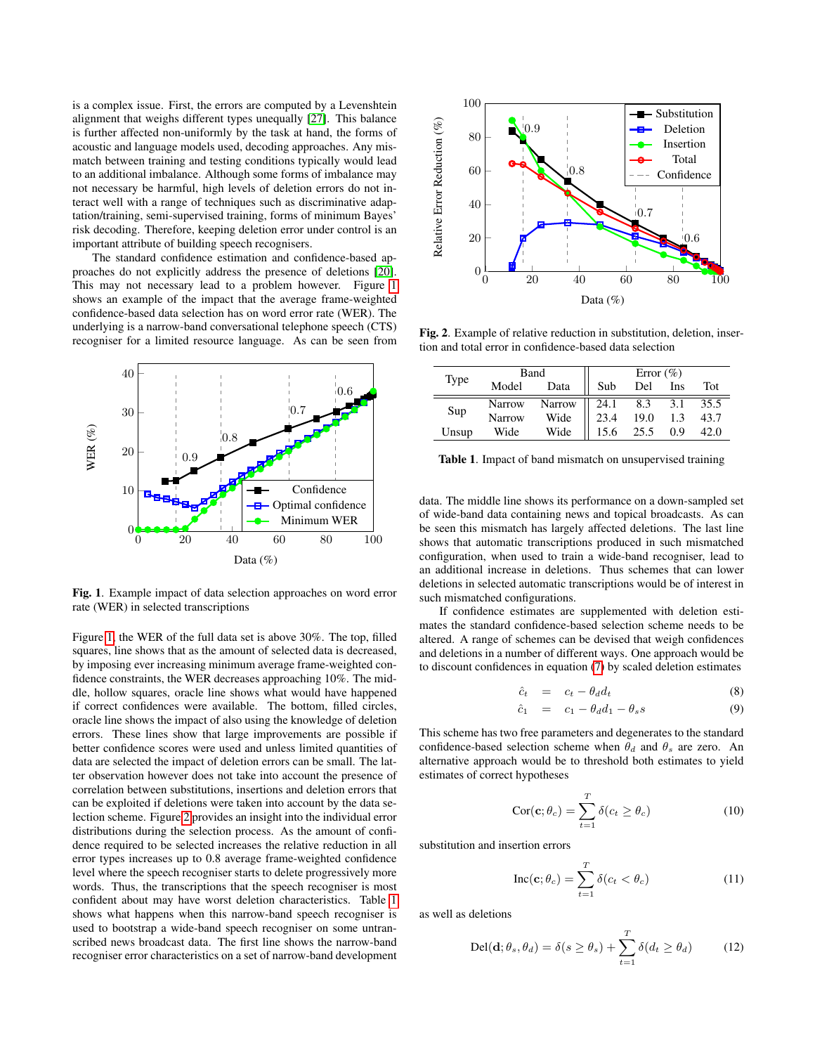is a complex issue. First, the errors are computed by a Levenshtein alignment that weighs different types unequally [\[27\]](#page-6-26). This balance is further affected non-uniformly by the task at hand, the forms of acoustic and language models used, decoding approaches. Any mismatch between training and testing conditions typically would lead to an additional imbalance. Although some forms of imbalance may not necessary be harmful, high levels of deletion errors do not interact well with a range of techniques such as discriminative adaptation/training, semi-supervised training, forms of minimum Bayes' risk decoding. Therefore, keeping deletion error under control is an important attribute of building speech recognisers.

The standard confidence estimation and confidence-based approaches do not explicitly address the presence of deletions [\[20\]](#page-6-18). This may not necessary lead to a problem however. Figure [1](#page-2-0) shows an example of the impact that the average frame-weighted confidence-based data selection has on word error rate (WER). The underlying is a narrow-band conversational telephone speech (CTS) recogniser for a limited resource language. As can be seen from



<span id="page-2-0"></span>Fig. 1. Example impact of data selection approaches on word error rate (WER) in selected transcriptions

Figure [1,](#page-2-0) the WER of the full data set is above 30%. The top, filled squares, line shows that as the amount of selected data is decreased, by imposing ever increasing minimum average frame-weighted confidence constraints, the WER decreases approaching 10%. The middle, hollow squares, oracle line shows what would have happened if correct confidences were available. The bottom, filled circles, oracle line shows the impact of also using the knowledge of deletion errors. These lines show that large improvements are possible if better confidence scores were used and unless limited quantities of data are selected the impact of deletion errors can be small. The latter observation however does not take into account the presence of correlation between substitutions, insertions and deletion errors that can be exploited if deletions were taken into account by the data selection scheme. Figure [2](#page-2-1) provides an insight into the individual error distributions during the selection process. As the amount of confidence required to be selected increases the relative reduction in all error types increases up to 0.8 average frame-weighted confidence level where the speech recogniser starts to delete progressively more words. Thus, the transcriptions that the speech recogniser is most confident about may have worst deletion characteristics. Table [1](#page-2-2) shows what happens when this narrow-band speech recogniser is used to bootstrap a wide-band speech recogniser on some untranscribed news broadcast data. The first line shows the narrow-band recogniser error characteristics on a set of narrow-band development



<span id="page-2-1"></span>Fig. 2. Example of relative reduction in substitution, deletion, insertion and total error in confidence-based data selection

|       | Band          |      | Error $(\% )$                  |      |      |      |
|-------|---------------|------|--------------------------------|------|------|------|
| Type  | Model         | Data | Sub                            | Del  | Ins  | Tot  |
|       | Narrow        |      | 24.1                           | 8.3  | 3.1  | 35.5 |
| Sup   | <b>Narrow</b> |      | Narrow<br>Wide<br>19.0<br>23.4 | 1.3  | 43.7 |      |
| Unsup | Wide          | Wide | 15.6                           | 25.5 | 0.9  | 42.0 |

<span id="page-2-2"></span>Table 1. Impact of band mismatch on unsupervised training

data. The middle line shows its performance on a down-sampled set of wide-band data containing news and topical broadcasts. As can be seen this mismatch has largely affected deletions. The last line shows that automatic transcriptions produced in such mismatched configuration, when used to train a wide-band recogniser, lead to an additional increase in deletions. Thus schemes that can lower deletions in selected automatic transcriptions would be of interest in such mismatched configurations.

If confidence estimates are supplemented with deletion estimates the standard confidence-based selection scheme needs to be altered. A range of schemes can be devised that weigh confidences and deletions in a number of different ways. One approach would be to discount confidences in equation [\(7\)](#page-1-2) by scaled deletion estimates

<span id="page-2-3"></span>
$$
\hat{c}_t = c_t - \theta_d d_t \tag{8}
$$

$$
\hat{c}_1 = c_1 - \theta_d d_1 - \theta_s s \tag{9}
$$

This scheme has two free parameters and degenerates to the standard confidence-based selection scheme when  $\theta_d$  and  $\theta_s$  are zero. An alternative approach would be to threshold both estimates to yield estimates of correct hypotheses

<span id="page-2-4"></span>
$$
Cor(c; \theta_c) = \sum_{t=1}^{T} \delta(c_t \ge \theta_c)
$$
 (10)

substitution and insertion errors

$$
Inc(c; \theta_c) = \sum_{t=1}^{T} \delta(c_t < \theta_c)
$$
 (11)

as well as deletions

<span id="page-2-5"></span>
$$
\text{Del}(\mathbf{d}; \theta_s, \theta_d) = \delta(s \ge \theta_s) + \sum_{t=1}^T \delta(d_t \ge \theta_d) \tag{12}
$$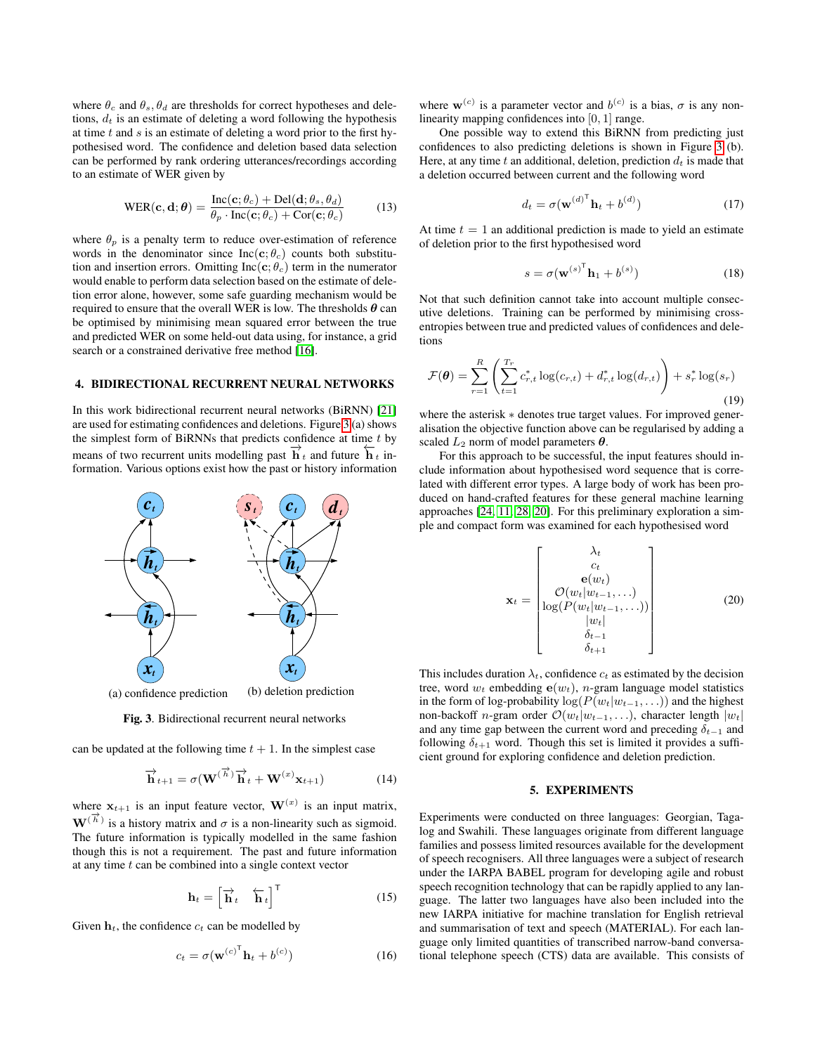where  $\theta_c$  and  $\theta_s$ ,  $\theta_d$  are thresholds for correct hypotheses and deletions,  $d_t$  is an estimate of deleting a word following the hypothesis at time  $t$  and  $s$  is an estimate of deleting a word prior to the first hypothesised word. The confidence and deletion based data selection can be performed by rank ordering utterances/recordings according to an estimate of WER given by

<span id="page-3-4"></span>
$$
WER(c, d; \theta) = \frac{Inc(c; \theta_c) + Del(d; \theta_s, \theta_d)}{\theta_p \cdot Inc(c; \theta_c) + Cor(c; \theta_c)}
$$
(13)

where  $\theta_p$  is a penalty term to reduce over-estimation of reference words in the denominator since Inc(c;  $\theta_c$ ) counts both substitution and insertion errors. Omitting Inc(c;  $\theta_c$ ) term in the numerator would enable to perform data selection based on the estimate of deletion error alone, however, some safe guarding mechanism would be required to ensure that the overall WER is low. The thresholds  $\theta$  can be optimised by minimising mean squared error between the true and predicted WER on some held-out data using, for instance, a grid search or a constrained derivative free method [\[16\]](#page-6-14).

### <span id="page-3-0"></span>4. BIDIRECTIONAL RECURRENT NEURAL NETWORKS

In this work bidirectional recurrent neural networks (BiRNN) [\[21\]](#page-6-19) are used for estimating confidences and deletions. Figure [3](#page-3-2) (a) shows the simplest form of BiRNNs that predicts confidence at time  $t$  by means of two recurrent units modelling past  $\overrightarrow{h}_t$  and future  $\overleftarrow{h}_t$  information. Various options exist how the past or history information



<span id="page-3-2"></span>Fig. 3. Bidirectional recurrent neural networks

can be updated at the following time  $t + 1$ . In the simplest case

$$
\overrightarrow{\mathbf{h}}_{t+1} = \sigma(\mathbf{W}^{(\overrightarrow{h})}\overrightarrow{\mathbf{h}}_t + \mathbf{W}^{(x)}\mathbf{x}_{t+1})
$$
(14)

where  $x_{t+1}$  is an input feature vector,  $\mathbf{W}^{(x)}$  is an input matrix,  $\mathbf{W}^{(\vec{h})}$  is a history matrix and  $\sigma$  is a non-linearity such as sigmoid. The future information is typically modelled in the same fashion though this is not a requirement. The past and future information at any time  $t$  can be combined into a single context vector

$$
\mathbf{h}_t = \begin{bmatrix} \overrightarrow{\mathbf{h}}_t & \overleftarrow{\mathbf{h}}_t \end{bmatrix}^\mathsf{T}
$$
 (15)

Given  $h_t$ , the confidence  $c_t$  can be modelled by

$$
c_t = \sigma(\mathbf{w}^{(c)}^\mathsf{T} \mathbf{h}_t + b^{(c)}) \tag{16}
$$

where  $\mathbf{w}^{(c)}$  is a parameter vector and  $b^{(c)}$  is a bias,  $\sigma$  is any nonlinearity mapping confidences into [0, 1] range.

One possible way to extend this BiRNN from predicting just confidences to also predicting deletions is shown in Figure [3](#page-3-2) (b). Here, at any time t an additional, deletion, prediction  $d_t$  is made that a deletion occurred between current and the following word

$$
d_t = \sigma(\mathbf{w}^{(d)^{\mathsf{T}}} \mathbf{h}_t + b^{(d)}) \tag{17}
$$

At time  $t = 1$  an additional prediction is made to yield an estimate of deletion prior to the first hypothesised word

$$
s = \sigma(\mathbf{w}^{(s)^{\mathsf{T}}} \mathbf{h}_1 + b^{(s)}) \tag{18}
$$

Not that such definition cannot take into account multiple consecutive deletions. Training can be performed by minimising crossentropies between true and predicted values of confidences and deletions

$$
\mathcal{F}(\theta) = \sum_{r=1}^{R} \left( \sum_{t=1}^{T_r} c_{r,t}^* \log(c_{r,t}) + d_{r,t}^* \log(d_{r,t}) \right) + s_r^* \log(s_r)
$$
\n(19)

where the asterisk  $*$  denotes true target values. For improved generalisation the objective function above can be regularised by adding a scaled  $L_2$  norm of model parameters  $\theta$ .

For this approach to be successful, the input features should include information about hypothesised word sequence that is correlated with different error types. A large body of work has been produced on hand-crafted features for these general machine learning approaches [\[24,](#page-6-23) [11,](#page-6-10) [28,](#page-6-27) [20\]](#page-6-18). For this preliminary exploration a simple and compact form was examined for each hypothesised word

<span id="page-3-3"></span>
$$
\mathbf{x}_{t} = \begin{bmatrix} \lambda_{t} \\ c_{t} \\ \mathbf{e}(w_{t}) \\ \log(P(w_{t}|w_{t-1},\ldots)) \\ \log(P(w_{t}|w_{t-1},\ldots)) \\ |w_{t}| \\ \delta_{t-1} \\ \delta_{t+1} \end{bmatrix}
$$
(20)

This includes duration  $\lambda_t$ , confidence  $c_t$  as estimated by the decision tree, word  $w_t$  embedding  $e(w_t)$ , *n*-gram language model statistics in the form of log-probability  $\log(P(w_t|w_{t-1}, \ldots))$  and the highest non-backoff n-gram order  $\mathcal{O}(w_t|w_{t-1}, \ldots)$ , character length  $|w_t|$ and any time gap between the current word and preceding  $\delta_{t-1}$  and following  $\delta_{t+1}$  word. Though this set is limited it provides a sufficient ground for exploring confidence and deletion prediction.

# 5. EXPERIMENTS

<span id="page-3-1"></span>Experiments were conducted on three languages: Georgian, Tagalog and Swahili. These languages originate from different language families and possess limited resources available for the development of speech recognisers. All three languages were a subject of research under the IARPA BABEL program for developing agile and robust speech recognition technology that can be rapidly applied to any language. The latter two languages have also been included into the new IARPA initiative for machine translation for English retrieval and summarisation of text and speech (MATERIAL). For each language only limited quantities of transcribed narrow-band conversational telephone speech (CTS) data are available. This consists of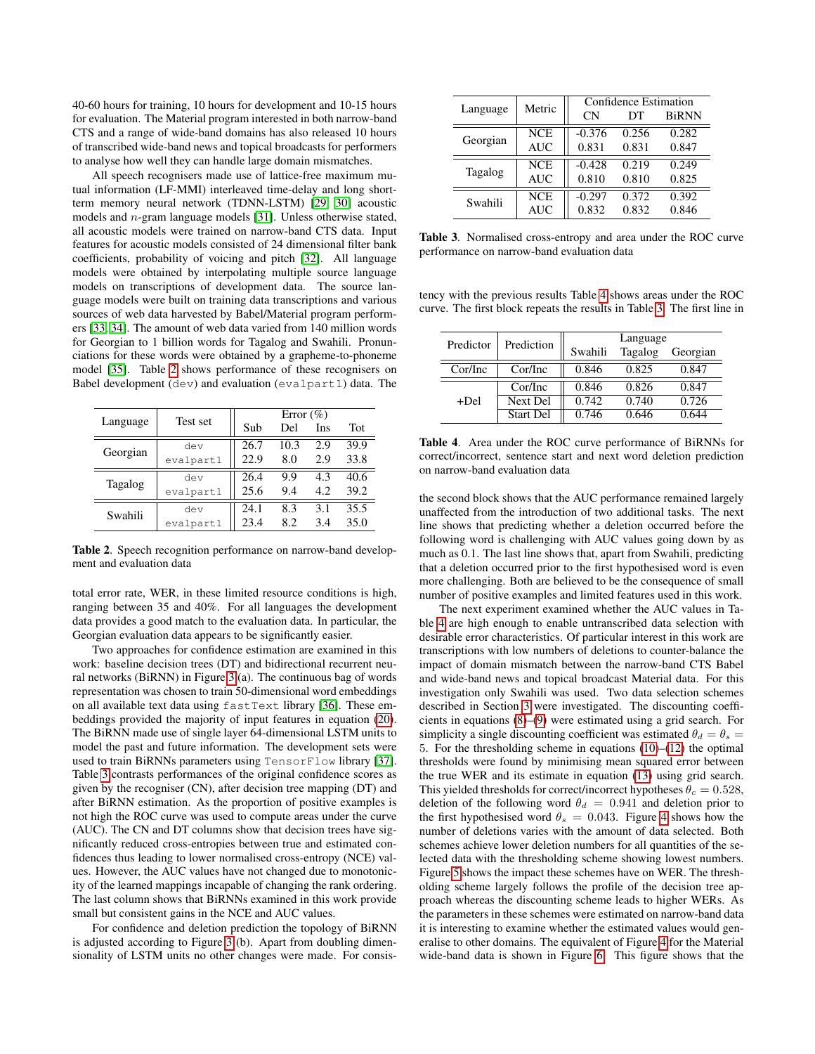40-60 hours for training, 10 hours for development and 10-15 hours for evaluation. The Material program interested in both narrow-band CTS and a range of wide-band domains has also released 10 hours of transcribed wide-band news and topical broadcasts for performers to analyse how well they can handle large domain mismatches.

All speech recognisers made use of lattice-free maximum mutual information (LF-MMI) interleaved time-delay and long shortterm memory neural network (TDNN-LSTM) [\[29,](#page-6-28) [30\]](#page-6-29) acoustic models and n-gram language models [\[31\]](#page-6-30). Unless otherwise stated, all acoustic models were trained on narrow-band CTS data. Input features for acoustic models consisted of 24 dimensional filter bank coefficients, probability of voicing and pitch [\[32\]](#page-6-31). All language models were obtained by interpolating multiple source language models on transcriptions of development data. The source language models were built on training data transcriptions and various sources of web data harvested by Babel/Material program performers [\[33,](#page-6-32) [34\]](#page-6-33). The amount of web data varied from 140 million words for Georgian to 1 billion words for Tagalog and Swahili. Pronunciations for these words were obtained by a grapheme-to-phoneme model [\[35\]](#page-6-34). Table [2](#page-4-0) shows performance of these recognisers on Babel development (dev) and evaluation (evalpart1) data. The

|          | Test set  | Error $(\% )$ |      |      |            |
|----------|-----------|---------------|------|------|------------|
| Language |           | Sub           | Del  | Ins  | <b>Tot</b> |
| Georgian | dev       | 26.7          | 10.3 | 2.9  | 39.9       |
|          | evalpart1 | 22.9          | 8.0  | 2.9  | 33.8       |
| Tagalog  | dev       | 26.4          | 9.9  | 4.3  | 40.6       |
|          | evalpart1 | 25.6          | 9.4  | 4.2. | 39.2       |
| Swahili  | dev       | 24.1          | 8.3  | 3.1  | 35.5       |
|          | evalpart1 | 23.4          | 82   | 3.4  | 35.0       |

<span id="page-4-0"></span>Table 2. Speech recognition performance on narrow-band development and evaluation data

total error rate, WER, in these limited resource conditions is high, ranging between 35 and 40%. For all languages the development data provides a good match to the evaluation data. In particular, the Georgian evaluation data appears to be significantly easier.

Two approaches for confidence estimation are examined in this work: baseline decision trees (DT) and bidirectional recurrent neural networks (BiRNN) in Figure [3](#page-3-2) (a). The continuous bag of words representation was chosen to train 50-dimensional word embeddings on all available text data using fastText library [\[36\]](#page-6-35). These embeddings provided the majority of input features in equation [\(20\)](#page-3-3). The BiRNN made use of single layer 64-dimensional LSTM units to model the past and future information. The development sets were used to train BiRNNs parameters using TensorFlow library [\[37\]](#page-7-0). Table [3](#page-4-1) contrasts performances of the original confidence scores as given by the recogniser (CN), after decision tree mapping (DT) and after BiRNN estimation. As the proportion of positive examples is not high the ROC curve was used to compute areas under the curve (AUC). The CN and DT columns show that decision trees have significantly reduced cross-entropies between true and estimated confidences thus leading to lower normalised cross-entropy (NCE) values. However, the AUC values have not changed due to monotonicity of the learned mappings incapable of changing the rank ordering. The last column shows that BiRNNs examined in this work provide small but consistent gains in the NCE and AUC values.

For confidence and deletion prediction the topology of BiRNN is adjusted according to Figure [3](#page-3-2) (b). Apart from doubling dimensionality of LSTM units no other changes were made. For consis-

| Language       | Metric     | Confidence Estimation |       |              |  |
|----------------|------------|-----------------------|-------|--------------|--|
|                |            | CN                    | DТ    | <b>BiRNN</b> |  |
| Georgian       | <b>NCE</b> | $-0.376$              | 0.256 | 0.282        |  |
|                | <b>AUC</b> | 0.831                 | 0.831 | 0.847        |  |
| <b>Tagalog</b> | <b>NCE</b> | $-0.428$              | 0.219 | 0.249        |  |
|                | <b>AUC</b> | 0.810                 | 0.810 | 0.825        |  |
| Swahili        | <b>NCE</b> | $-0.297$              | 0.372 | 0.392        |  |
|                | <b>AUC</b> | 0.832                 | 0.832 | 0.846        |  |

<span id="page-4-1"></span>Table 3. Normalised cross-entropy and area under the ROC curve performance on narrow-band evaluation data

tency with the previous results Table [4](#page-4-2) shows areas under the ROC curve. The first block repeats the results in Table [3.](#page-4-1) The first line in

| Predictor | Prediction       | Language |         |          |  |
|-----------|------------------|----------|---------|----------|--|
|           |                  | Swahili  | Tagalog | Georgian |  |
| Cor/Inc   | Cor/Inc          | 0.846    | 0.825   | 0.847    |  |
| +Del      | Cor/Inc          | 0.846    | 0.826   | 0.847    |  |
|           | <b>Next Del</b>  | 0.742    | 0.740   | 0.726    |  |
|           | <b>Start Del</b> | 0.746    | 0.646   | 0 644    |  |

<span id="page-4-2"></span>Table 4. Area under the ROC curve performance of BiRNNs for correct/incorrect, sentence start and next word deletion prediction on narrow-band evaluation data

the second block shows that the AUC performance remained largely unaffected from the introduction of two additional tasks. The next line shows that predicting whether a deletion occurred before the following word is challenging with AUC values going down by as much as 0.1. The last line shows that, apart from Swahili, predicting that a deletion occurred prior to the first hypothesised word is even more challenging. Both are believed to be the consequence of small number of positive examples and limited features used in this work.

The next experiment examined whether the AUC values in Table [4](#page-4-2) are high enough to enable untranscribed data selection with desirable error characteristics. Of particular interest in this work are transcriptions with low numbers of deletions to counter-balance the impact of domain mismatch between the narrow-band CTS Babel and wide-band news and topical broadcast Material data. For this investigation only Swahili was used. Two data selection schemes described in Section [3](#page-1-1) were investigated. The discounting coefficients in equations [\(8\)](#page-2-3)–[\(9\)](#page-2-3) were estimated using a grid search. For simplicity a single discounting coefficient was estimated  $\theta_d = \theta_s =$ 5. For the thresholding scheme in equations [\(10\)](#page-2-4)–[\(12\)](#page-2-5) the optimal thresholds were found by minimising mean squared error between the true WER and its estimate in equation [\(13\)](#page-3-4) using grid search. This yielded thresholds for correct/incorrect hypotheses  $\theta_c = 0.528$ , deletion of the following word  $\theta_d = 0.941$  and deletion prior to the first hypothesised word  $\theta_s = 0.043$ . Figure [4](#page-5-1) shows how the number of deletions varies with the amount of data selected. Both schemes achieve lower deletion numbers for all quantities of the selected data with the thresholding scheme showing lowest numbers. Figure [5](#page-5-2) shows the impact these schemes have on WER. The thresholding scheme largely follows the profile of the decision tree approach whereas the discounting scheme leads to higher WERs. As the parameters in these schemes were estimated on narrow-band data it is interesting to examine whether the estimated values would generalise to other domains. The equivalent of Figure [4](#page-5-1) for the Material wide-band data is shown in Figure [6.](#page-5-3) This figure shows that the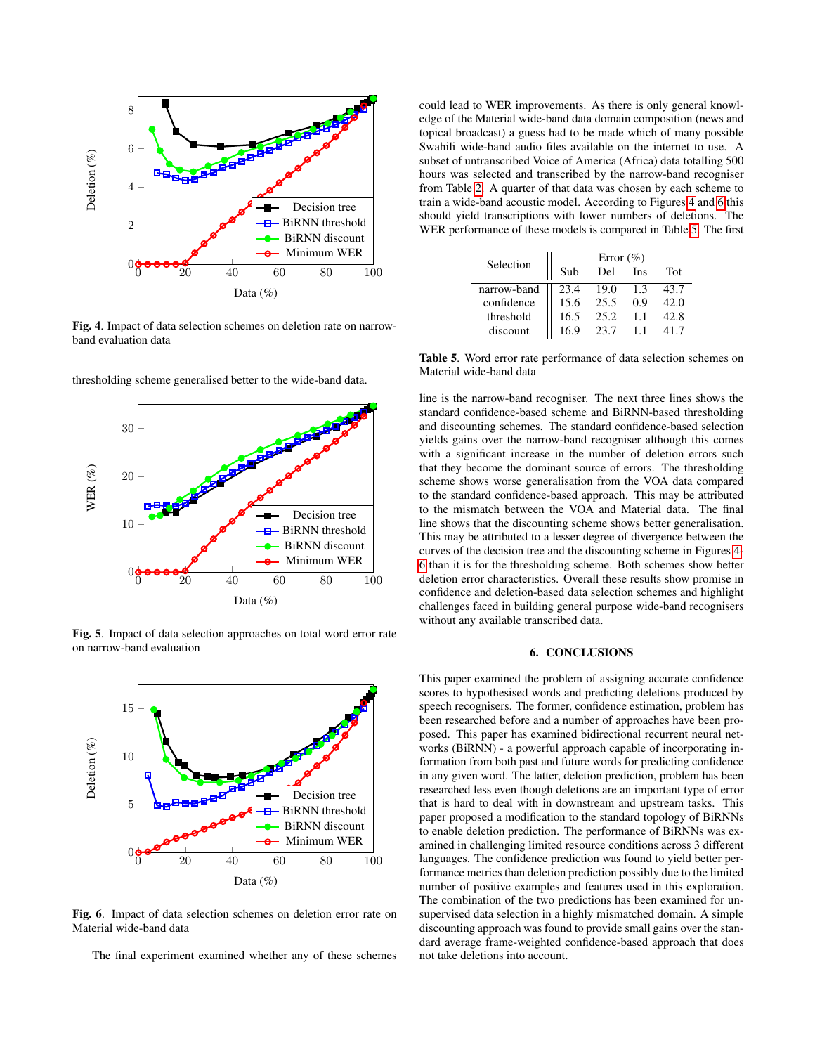

<span id="page-5-1"></span>Fig. 4. Impact of data selection schemes on deletion rate on narrowband evaluation data



thresholding scheme generalised better to the wide-band data.

<span id="page-5-2"></span>Fig. 5. Impact of data selection approaches on total word error rate on narrow-band evaluation



<span id="page-5-3"></span>Fig. 6. Impact of data selection schemes on deletion error rate on Material wide-band data

The final experiment examined whether any of these schemes

could lead to WER improvements. As there is only general knowledge of the Material wide-band data domain composition (news and topical broadcast) a guess had to be made which of many possible Swahili wide-band audio files available on the internet to use. A subset of untranscribed Voice of America (Africa) data totalling 500 hours was selected and transcribed by the narrow-band recogniser from Table [2.](#page-4-0) A quarter of that data was chosen by each scheme to train a wide-band acoustic model. According to Figures [4](#page-5-1) and [6](#page-5-3) this should yield transcriptions with lower numbers of deletions. The WER performance of these models is compared in Table [5.](#page-5-4) The first

| Selection   | Error $(\% )$ |      |     |      |  |
|-------------|---------------|------|-----|------|--|
|             | Sub           | Del  | Ins | Tot  |  |
| narrow-band | 23.4          | 19.0 | 1.3 | 43.7 |  |
| confidence  | 15.6          | 25.5 | 0.9 | 42.0 |  |
| threshold   | 16.5          | 25.2 | 1.1 | 42.8 |  |
| discount    | 169           | 23.7 |     |      |  |

<span id="page-5-4"></span>Table 5. Word error rate performance of data selection schemes on Material wide-band data

line is the narrow-band recogniser. The next three lines shows the standard confidence-based scheme and BiRNN-based thresholding and discounting schemes. The standard confidence-based selection yields gains over the narrow-band recogniser although this comes with a significant increase in the number of deletion errors such that they become the dominant source of errors. The thresholding scheme shows worse generalisation from the VOA data compared to the standard confidence-based approach. This may be attributed to the mismatch between the VOA and Material data. The final line shows that the discounting scheme shows better generalisation. This may be attributed to a lesser degree of divergence between the curves of the decision tree and the discounting scheme in Figures [4-](#page-5-1) [6](#page-5-3) than it is for the thresholding scheme. Both schemes show better deletion error characteristics. Overall these results show promise in confidence and deletion-based data selection schemes and highlight challenges faced in building general purpose wide-band recognisers without any available transcribed data.

#### 6. CONCLUSIONS

<span id="page-5-0"></span>This paper examined the problem of assigning accurate confidence scores to hypothesised words and predicting deletions produced by speech recognisers. The former, confidence estimation, problem has been researched before and a number of approaches have been proposed. This paper has examined bidirectional recurrent neural networks (BiRNN) - a powerful approach capable of incorporating information from both past and future words for predicting confidence in any given word. The latter, deletion prediction, problem has been researched less even though deletions are an important type of error that is hard to deal with in downstream and upstream tasks. This paper proposed a modification to the standard topology of BiRNNs to enable deletion prediction. The performance of BiRNNs was examined in challenging limited resource conditions across 3 different languages. The confidence prediction was found to yield better performance metrics than deletion prediction possibly due to the limited number of positive examples and features used in this exploration. The combination of the two predictions has been examined for unsupervised data selection in a highly mismatched domain. A simple discounting approach was found to provide small gains over the standard average frame-weighted confidence-based approach that does not take deletions into account.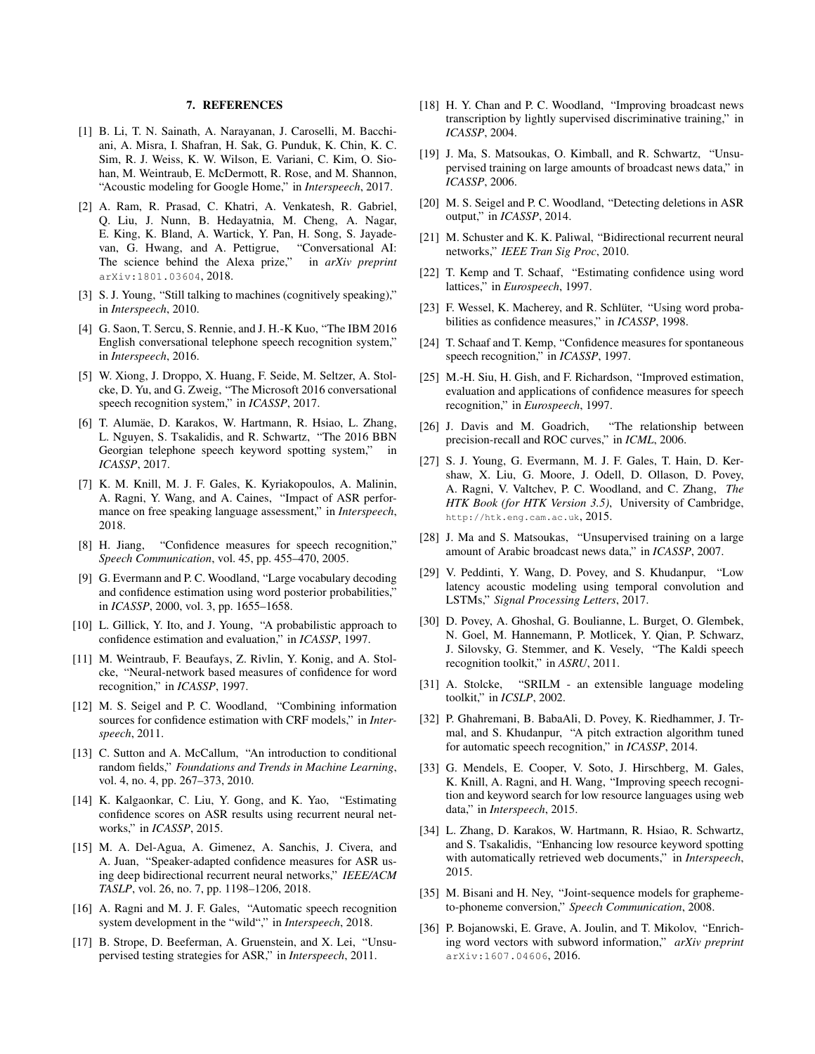### 7. REFERENCES

- <span id="page-6-0"></span>[1] B. Li, T. N. Sainath, A. Narayanan, J. Caroselli, M. Bacchiani, A. Misra, I. Shafran, H. Sak, G. Punduk, K. Chin, K. C. Sim, R. J. Weiss, K. W. Wilson, E. Variani, C. Kim, O. Siohan, M. Weintraub, E. McDermott, R. Rose, and M. Shannon, "Acoustic modeling for Google Home," in *Interspeech*, 2017.
- <span id="page-6-1"></span>[2] A. Ram, R. Prasad, C. Khatri, A. Venkatesh, R. Gabriel, Q. Liu, J. Nunn, B. Hedayatnia, M. Cheng, A. Nagar, E. King, K. Bland, A. Wartick, Y. Pan, H. Song, S. Jayadevan, G. Hwang, and A. Pettigrue, "Conversational AI: The science behind the Alexa prize," in *arXiv preprint* arXiv:1801.03604, 2018.
- <span id="page-6-2"></span>[3] S. J. Young, "Still talking to machines (cognitively speaking)," in *Interspeech*, 2010.
- <span id="page-6-3"></span>[4] G. Saon, T. Sercu, S. Rennie, and J. H.-K Kuo, "The IBM 2016 English conversational telephone speech recognition system," in *Interspeech*, 2016.
- <span id="page-6-4"></span>[5] W. Xiong, J. Droppo, X. Huang, F. Seide, M. Seltzer, A. Stolcke, D. Yu, and G. Zweig, "The Microsoft 2016 conversational speech recognition system," in *ICASSP*, 2017.
- <span id="page-6-5"></span>[6] T. Alumäe, D. Karakos, W. Hartmann, R. Hsiao, L. Zhang, L. Nguyen, S. Tsakalidis, and R. Schwartz, "The 2016 BBN Georgian telephone speech keyword spotting system," in *ICASSP*, 2017.
- <span id="page-6-6"></span>[7] K. M. Knill, M. J. F. Gales, K. Kyriakopoulos, A. Malinin, A. Ragni, Y. Wang, and A. Caines, "Impact of ASR performance on free speaking language assessment," in *Interspeech*, 2018.
- <span id="page-6-7"></span>[8] H. Jiang, "Confidence measures for speech recognition," *Speech Communication*, vol. 45, pp. 455–470, 2005.
- <span id="page-6-8"></span>[9] G. Evermann and P. C. Woodland, "Large vocabulary decoding and confidence estimation using word posterior probabilities," in *ICASSP*, 2000, vol. 3, pp. 1655–1658.
- <span id="page-6-9"></span>[10] L. Gillick, Y. Ito, and J. Young, "A probabilistic approach to confidence estimation and evaluation," in *ICASSP*, 1997.
- <span id="page-6-10"></span>[11] M. Weintraub, F. Beaufays, Z. Rivlin, Y. Konig, and A. Stolcke, "Neural-network based measures of confidence for word recognition," in *ICASSP*, 1997.
- <span id="page-6-11"></span>[12] M. S. Seigel and P. C. Woodland, "Combining information sources for confidence estimation with CRF models," in *Interspeech*, 2011.
- <span id="page-6-12"></span>[13] C. Sutton and A. McCallum, "An introduction to conditional random fields," *Foundations and Trends in Machine Learning*, vol. 4, no. 4, pp. 267–373, 2010.
- <span id="page-6-13"></span>[14] K. Kalgaonkar, C. Liu, Y. Gong, and K. Yao, "Estimating confidence scores on ASR results using recurrent neural networks," in *ICASSP*, 2015.
- <span id="page-6-20"></span>[15] M. A. Del-Agua, A. Gimenez, A. Sanchis, J. Civera, and A. Juan, "Speaker-adapted confidence measures for ASR using deep bidirectional recurrent neural networks," *IEEE/ACM TASLP*, vol. 26, no. 7, pp. 1198–1206, 2018.
- <span id="page-6-14"></span>[16] A. Ragni and M. J. F. Gales, "Automatic speech recognition system development in the "wild"," in *Interspeech*, 2018.
- <span id="page-6-15"></span>[17] B. Strope, D. Beeferman, A. Gruenstein, and X. Lei, "Unsupervised testing strategies for ASR," in *Interspeech*, 2011.
- <span id="page-6-16"></span>[18] H. Y. Chan and P. C. Woodland, "Improving broadcast news transcription by lightly supervised discriminative training," in *ICASSP*, 2004.
- <span id="page-6-17"></span>[19] J. Ma, S. Matsoukas, O. Kimball, and R. Schwartz, "Unsupervised training on large amounts of broadcast news data," in *ICASSP*, 2006.
- <span id="page-6-18"></span>[20] M. S. Seigel and P. C. Woodland, "Detecting deletions in ASR output," in *ICASSP*, 2014.
- <span id="page-6-19"></span>[21] M. Schuster and K. K. Paliwal, "Bidirectional recurrent neural networks," *IEEE Tran Sig Proc*, 2010.
- <span id="page-6-21"></span>[22] T. Kemp and T. Schaaf, "Estimating confidence using word lattices," in *Eurospeech*, 1997.
- <span id="page-6-22"></span>[23] F. Wessel, K. Macherey, and R. Schlüter, "Using word probabilities as confidence measures," in *ICASSP*, 1998.
- <span id="page-6-23"></span>[24] T. Schaaf and T. Kemp, "Confidence measures for spontaneous speech recognition," in *ICASSP*, 1997.
- <span id="page-6-24"></span>[25] M.-H. Siu, H. Gish, and F. Richardson, "Improved estimation, evaluation and applications of confidence measures for speech recognition," in *Eurospeech*, 1997.
- <span id="page-6-25"></span>[26] J. Davis and M. Goadrich, "The relationship between precision-recall and ROC curves," in *ICML*, 2006.
- <span id="page-6-26"></span>[27] S. J. Young, G. Evermann, M. J. F. Gales, T. Hain, D. Kershaw, X. Liu, G. Moore, J. Odell, D. Ollason, D. Povey, A. Ragni, V. Valtchev, P. C. Woodland, and C. Zhang, *The HTK Book (for HTK Version 3.5)*, University of Cambridge, http://htk.eng.cam.ac.uk, 2015.
- <span id="page-6-27"></span>[28] J. Ma and S. Matsoukas, "Unsupervised training on a large amount of Arabic broadcast news data," in *ICASSP*, 2007.
- <span id="page-6-28"></span>[29] V. Peddinti, Y. Wang, D. Povey, and S. Khudanpur, "Low latency acoustic modeling using temporal convolution and LSTMs," *Signal Processing Letters*, 2017.
- <span id="page-6-29"></span>[30] D. Povey, A. Ghoshal, G. Boulianne, L. Burget, O. Glembek, N. Goel, M. Hannemann, P. Motlicek, Y. Qian, P. Schwarz, J. Silovsky, G. Stemmer, and K. Vesely, "The Kaldi speech recognition toolkit," in *ASRU*, 2011.
- <span id="page-6-30"></span>[31] A. Stolcke, "SRILM - an extensible language modeling toolkit," in *ICSLP*, 2002.
- <span id="page-6-31"></span>[32] P. Ghahremani, B. BabaAli, D. Povey, K. Riedhammer, J. Trmal, and S. Khudanpur, "A pitch extraction algorithm tuned for automatic speech recognition," in *ICASSP*, 2014.
- <span id="page-6-32"></span>[33] G. Mendels, E. Cooper, V. Soto, J. Hirschberg, M. Gales, K. Knill, A. Ragni, and H. Wang, "Improving speech recognition and keyword search for low resource languages using web data," in *Interspeech*, 2015.
- <span id="page-6-33"></span>[34] L. Zhang, D. Karakos, W. Hartmann, R. Hsiao, R. Schwartz, and S. Tsakalidis, "Enhancing low resource keyword spotting with automatically retrieved web documents," in *Interspeech*, 2015.
- <span id="page-6-34"></span>[35] M. Bisani and H. Ney, "Joint-sequence models for graphemeto-phoneme conversion," *Speech Communication*, 2008.
- <span id="page-6-35"></span>[36] P. Bojanowski, E. Grave, A. Joulin, and T. Mikolov, "Enriching word vectors with subword information," *arXiv preprint* arXiv:1607.04606, 2016.